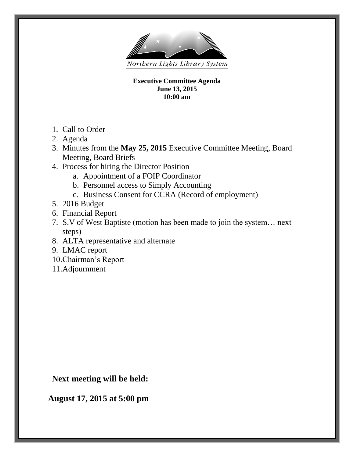

**Executive Committee Agenda June 13, 2015 10:00 am**

- 1. Call to Order
- 2. Agenda
- 3. Minutes from the **May 25, 2015** Executive Committee Meeting, Board Meeting, Board Briefs
- 4. Process for hiring the Director Position
	- a. Appointment of a FOIP Coordinator
	- b. Personnel access to Simply Accounting
	- c. Business Consent for CCRA (Record of employment)
- 5. 2016 Budget
- 6. Financial Report
- 7. S.V of West Baptiste (motion has been made to join the system… next steps)
- 8. ALTA representative and alternate
- 9. LMAC report
- 10.Chairman's Report
- 11.Adjournment

**Next meeting will be held:** 

 **August 17, 2015 at 5:00 pm**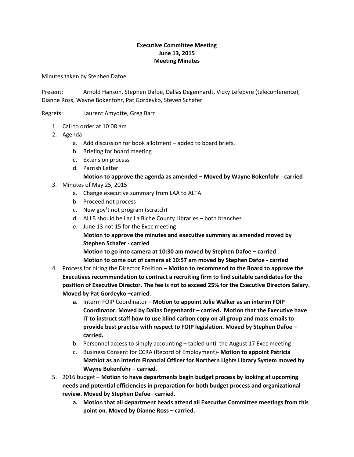### **Executive Committee Meeting June 13, 2015 Meeting Minutes**

Minutes taken by Stephen Dafoe

Present: Arnold Hanson, Stephen Dafoe, Dallas Degenhardt, Vicky Lefebvre (teleconference), Dianne Ross, Wayne Bokenfohr, Pat Gordeyko, Steven Schafer

Regrets: Laurent Amyotte, Greg Barr

- 1. Call to order at 10:08 am
- 2. Agenda
	- a. Add discussion for book allotment added to board briefs,
	- b. Briefing for board meeting
	- c. Extension process
	- d. Parrish Letter

### **Motion to approve the agenda as amended – Moved by Wayne Bokenfohr - carried**

- 3. Minutes of May 25, 2015
	- a. Change executive summary from LAA to ALTA
	- b. Proceed not process
	- c. New gov't not program (scratch)
	- d. ALLB should be Lac La Biche County Libraries both branches
	- e. June 13 not 15 for the Exec meeting

**Motion to approve the minutes and executive summary as amended moved by Stephen Schafer - carried**

**Motion to go into camera at 10:30 am moved by Stephen Dafoe – carried Motion to come out of camera at 10:57 am moved by Stephen Dafoe - carried**

- 4. Process for hiring the Director Position **Motion to recommend to the Board to approve the Executives recommendation to contract a recruiting firm to find suitable candidates for the position of Executive Director. The fee is not to exceed 25% for the Executive Directors Salary. Moved by Pat Gordeyko –carried.**
	- **a.** Interm FOIP Coordinator **– Motion to appoint Julie Walker as an interim FOIP Coordinator. Moved by Dallas Degenhardt – carried. Motion that the Executive have IT to instruct staff how to use blind carbon copy on all group and mass emails to provide best practise with respect to FOIP legislation. Moved by Stephen Dafoe – carried.**
	- b. Personnel access to simply accounting tabled until the August 17 Exec meeting
	- c. Business Consent for CCRA (Record of Employment)- **Motion to appoint Patricia Mathiot as an interim Financial Officer for Northern Lights Library System moved by Wayne Bokenfohr – carried.**
- 5. 2016 budget **Motion to have departments begin budget process by looking at upcoming needs and potential efficiencies in preparation for both budget process and organizational review. Moved by Stephen Dafoe –carried.**
	- **a. Motion that all department heads attend all Executive Committee meetings from this point on. Moved by Dianne Ross – carried.**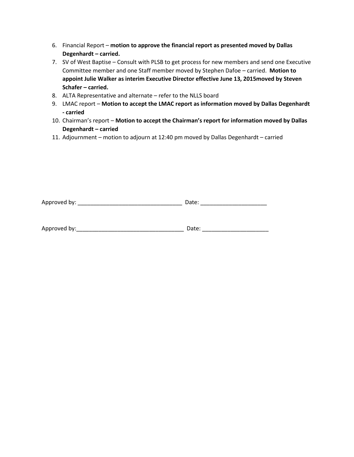- 6. Financial Report **motion to approve the financial report as presented moved by Dallas Degenhardt – carried.**
- 7. SV of West Baptise Consult with PLSB to get process for new members and send one Executive Committee member and one Staff member moved by Stephen Dafoe – carried. **Motion to appoint Julie Walker as interim Executive Director effective June 13, 2015moved by Steven Schafer – carried.**
- 8. ALTA Representative and alternate refer to the NLLS board
- 9. LMAC report **Motion to accept the LMAC report as information moved by Dallas Degenhardt - carried**
- 10. Chairman's report **Motion to accept the Chairman's report for information moved by Dallas Degenhardt – carried**
- 11. Adjournment motion to adjourn at 12:40 pm moved by Dallas Degenhardt carried

| Approved by:<br>$\sim$<br>-- - |  |
|--------------------------------|--|
|--------------------------------|--|

| Approved by: | 1222<br>ale. |
|--------------|--------------|
|              |              |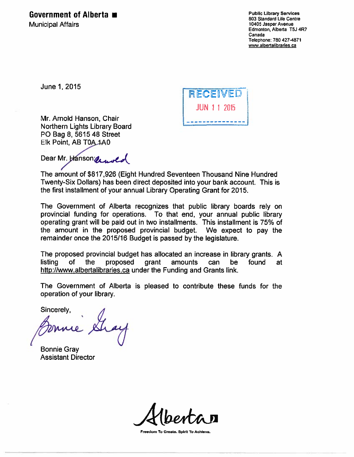### Government of Alberta

**Municipal Affairs** 

**Public Library Services** 803 Standard Life Centre 10405 Jasper Avenue Edmonton, Alberta T5J 4R7 Canada Telephone: 780 427-4871 www.albertalibraries.ca

June 1, 2015

Mr. Arnold Hanson, Chair Northern Lights Library Board PO Bag 8, 5615 48 Street Elk Point, AB T0A 1A0

RECEIVED JUN 1 1 2015

Dear Mr. Hanson and

The amount of \$817,926 (Eight Hundred Seventeen Thousand Nine Hundred Twenty-Six Dollars) has been direct deposited into your bank account. This is the first installment of your annual Library Operating Grant for 2015.

The Government of Alberta recognizes that public library boards rely on provincial funding for operations. To that end, your annual public library operating grant will be paid out in two installments. This installment is 75% of the amount in the proposed provincial budget. We expect to pay the remainder once the 2015/16 Budget is passed by the legislature.

The proposed provincial budget has allocated an increase in library grants. A listing of the proposed grant amounts can be found at http://www.albertalibraries.ca under the Funding and Grants link.

The Government of Alberta is pleased to contribute these funds for the operation of your library.

Sincerely,

**Bonnie Gray Assistant Director** 

Freedom To Create. Spirit To Achleva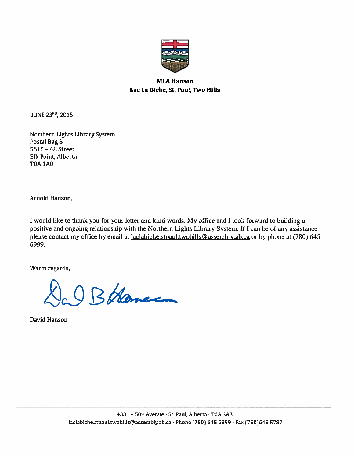

### **MLA Hanson** Lac La Biche, St. Paul, Two Hills

JUNE 23<sup>RD</sup>, 2015

Northern Lights Library System Postal Bag 8 5615 - 48 Street Elk Point, Alberta **T0A 1A0** 

Arnold Hanson,

I would like to thank you for your letter and kind words. My office and I look forward to building a positive and ongoing relationship with the Northern Lights Library System. If I can be of any assistance please contact my office by email at laclabiche.stpaul.twohills@assembly.ab.ca or by phone at (780) 645 6999.

Warm regards,

O BHance

David Hanson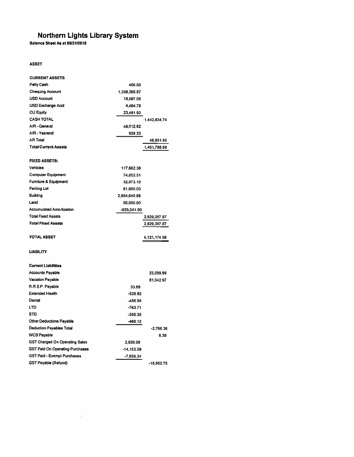### Northern Lights Library System<br>Balance Sheet As at 05/31/2015

### **ASSET**

| <b>CURRENT ASSETS</b>                  |              |              |
|----------------------------------------|--------------|--------------|
| <b>Petty Cash</b>                      | 400.00       |              |
| <b>Chequing Account</b>                | 1,396,360.97 |              |
| <b>USD Account</b>                     | 18,097.05    |              |
| <b>USD Exchange Acct</b>               | 4,484,79     |              |
| <b>CU Equity</b>                       | 23,491.93    |              |
| <b>CASH TOTAL</b>                      |              | 1,442,834.74 |
| A/R - General                          | 48,012.62    |              |
| A/R - Yearend                          | 939.33       |              |
| <b>AR Total</b>                        |              | 48.951.95    |
| <b>Total Current Assets</b>            |              | 1,491,786.69 |
| <b>FIXED ASSETS:</b>                   |              |              |
| <b>Vehicles</b>                        | 117,662.38   |              |
| <b>Computer Equipment</b>              | 74,052.51    |              |
| <b>Furniture &amp; Equipment</b>       | 32,073.10    |              |
| Parking Lot                            | 81,000.00    |              |
| <b>Building</b>                        | 2,894,640.88 |              |
| Land                                   | 50,000.00    |              |
| <b>Accumulated Amortization</b>        | -620,041.00  |              |
| <b>Total Fixed Assets</b>              |              | 2,629,387.87 |
|                                        |              |              |
| <b>Total Fixed Assets</b>              |              | 2,629,387.87 |
|                                        |              |              |
| <b>TOTAL ASSET</b>                     |              | 4,121,174.56 |
|                                        |              |              |
| <b>LIABILITY</b>                       |              |              |
| <b>Current Liabilities</b>             |              |              |
| <b>Accounts Payable</b>                |              | 23,009.99    |
| <b>Vacation Payable</b>                |              | 81,042.97    |
| R.R.S.P. Payable                       | 33.68        |              |
| <b>Extended Health</b>                 | $-528.82$    |              |
| Dental                                 | $-456.04$    |              |
| <b>LTD</b>                             | $-763.71$    |              |
| <b>STD</b>                             | $-585.35$    |              |
| <b>Other Deductions Payable</b>        | $-466.12$    |              |
| <b>Deduction Payables Total</b>        |              | -2,766.36    |
| <b>WCB Payable</b>                     |              | 6.38         |
| <b>GST Charged On Operating Sales</b>  | 2,826.68     |              |
| <b>GST Paid On Operating Purchases</b> | $-14,153.09$ |              |
| <b>GST Paid - Exempt Purchases</b>     | $-7,626.34$  |              |

 $\epsilon'$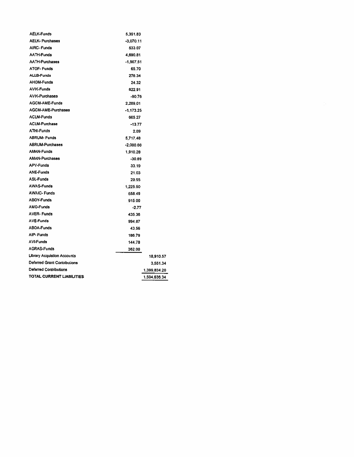| <b>AELK-Purchases</b><br>$-3,070.11$<br><b>AIRC-Funds</b><br>533.07<br><b>AATH-Funds</b><br>4,690.81<br><b>AATH-Purchases</b><br>$-1,907.51$<br><b>ATOF-Funds</b><br>65.70<br><b>ALLB-Funds</b><br>276.34<br><b>AHOM-Funds</b><br>24.32<br><b>AVIK-Funds</b><br>622.91<br><b>AVIK-Purchases</b><br>$-90.76$<br><b>AGCM-AME-Funds</b><br>2.289.01<br><b>AGCM-AME-Purchases</b><br>$-1.173.25$<br><b>ACLM-Funds</b><br>665.27<br><b>ACLM-Purchase</b><br>-13.77<br>ATHI-Funds<br>2.09<br><b>ABRUM-Funds</b><br>5,717.48<br><b>ABRUM-Purchases</b><br>$-2.000.00$<br><b>AMAN-Funds</b><br>1,910.28<br><b>AMAN-Purchases</b><br>$-30.89$<br><b>APV-Funds</b><br>33.19<br><b>ANE-Funds</b><br>21.03<br><b>ASL-Funds</b><br>29.95<br><b>AWAS-Funds</b><br>1,225.50<br><b>AWAIC- Funds</b><br>658.49<br><b>ABOY-Funds</b><br>915.00<br><b>AMO-Funds</b><br>$-2.77$<br><b>AVER-Funds</b><br>435.36<br><b>AVE-Funds</b><br>994.87<br><b>ABOA-Funds</b><br>43.56<br>AIP-Funds<br>186.79<br><b>AVI-Funds</b><br>144.78<br><b>AGRAS-Funds</b><br>362.00<br><b>Library Acquistion Accounts</b><br>18,910.57<br>Deferred Grant Contributions<br>3,551.34<br>Deferred Contributions<br>1,399,834.20<br><b>TOTAL CURRENT LIABILITIES</b><br>1,504,636.34 | <b>AELK-Funds</b> | 5,351.83 |  |
|------------------------------------------------------------------------------------------------------------------------------------------------------------------------------------------------------------------------------------------------------------------------------------------------------------------------------------------------------------------------------------------------------------------------------------------------------------------------------------------------------------------------------------------------------------------------------------------------------------------------------------------------------------------------------------------------------------------------------------------------------------------------------------------------------------------------------------------------------------------------------------------------------------------------------------------------------------------------------------------------------------------------------------------------------------------------------------------------------------------------------------------------------------------------------------------------------------------------------------------|-------------------|----------|--|
|                                                                                                                                                                                                                                                                                                                                                                                                                                                                                                                                                                                                                                                                                                                                                                                                                                                                                                                                                                                                                                                                                                                                                                                                                                          |                   |          |  |
|                                                                                                                                                                                                                                                                                                                                                                                                                                                                                                                                                                                                                                                                                                                                                                                                                                                                                                                                                                                                                                                                                                                                                                                                                                          |                   |          |  |
|                                                                                                                                                                                                                                                                                                                                                                                                                                                                                                                                                                                                                                                                                                                                                                                                                                                                                                                                                                                                                                                                                                                                                                                                                                          |                   |          |  |
|                                                                                                                                                                                                                                                                                                                                                                                                                                                                                                                                                                                                                                                                                                                                                                                                                                                                                                                                                                                                                                                                                                                                                                                                                                          |                   |          |  |
|                                                                                                                                                                                                                                                                                                                                                                                                                                                                                                                                                                                                                                                                                                                                                                                                                                                                                                                                                                                                                                                                                                                                                                                                                                          |                   |          |  |
|                                                                                                                                                                                                                                                                                                                                                                                                                                                                                                                                                                                                                                                                                                                                                                                                                                                                                                                                                                                                                                                                                                                                                                                                                                          |                   |          |  |
|                                                                                                                                                                                                                                                                                                                                                                                                                                                                                                                                                                                                                                                                                                                                                                                                                                                                                                                                                                                                                                                                                                                                                                                                                                          |                   |          |  |
|                                                                                                                                                                                                                                                                                                                                                                                                                                                                                                                                                                                                                                                                                                                                                                                                                                                                                                                                                                                                                                                                                                                                                                                                                                          |                   |          |  |
|                                                                                                                                                                                                                                                                                                                                                                                                                                                                                                                                                                                                                                                                                                                                                                                                                                                                                                                                                                                                                                                                                                                                                                                                                                          |                   |          |  |
|                                                                                                                                                                                                                                                                                                                                                                                                                                                                                                                                                                                                                                                                                                                                                                                                                                                                                                                                                                                                                                                                                                                                                                                                                                          |                   |          |  |
|                                                                                                                                                                                                                                                                                                                                                                                                                                                                                                                                                                                                                                                                                                                                                                                                                                                                                                                                                                                                                                                                                                                                                                                                                                          |                   |          |  |
|                                                                                                                                                                                                                                                                                                                                                                                                                                                                                                                                                                                                                                                                                                                                                                                                                                                                                                                                                                                                                                                                                                                                                                                                                                          |                   |          |  |
|                                                                                                                                                                                                                                                                                                                                                                                                                                                                                                                                                                                                                                                                                                                                                                                                                                                                                                                                                                                                                                                                                                                                                                                                                                          |                   |          |  |
|                                                                                                                                                                                                                                                                                                                                                                                                                                                                                                                                                                                                                                                                                                                                                                                                                                                                                                                                                                                                                                                                                                                                                                                                                                          |                   |          |  |
|                                                                                                                                                                                                                                                                                                                                                                                                                                                                                                                                                                                                                                                                                                                                                                                                                                                                                                                                                                                                                                                                                                                                                                                                                                          |                   |          |  |
|                                                                                                                                                                                                                                                                                                                                                                                                                                                                                                                                                                                                                                                                                                                                                                                                                                                                                                                                                                                                                                                                                                                                                                                                                                          |                   |          |  |
|                                                                                                                                                                                                                                                                                                                                                                                                                                                                                                                                                                                                                                                                                                                                                                                                                                                                                                                                                                                                                                                                                                                                                                                                                                          |                   |          |  |
|                                                                                                                                                                                                                                                                                                                                                                                                                                                                                                                                                                                                                                                                                                                                                                                                                                                                                                                                                                                                                                                                                                                                                                                                                                          |                   |          |  |
|                                                                                                                                                                                                                                                                                                                                                                                                                                                                                                                                                                                                                                                                                                                                                                                                                                                                                                                                                                                                                                                                                                                                                                                                                                          |                   |          |  |
|                                                                                                                                                                                                                                                                                                                                                                                                                                                                                                                                                                                                                                                                                                                                                                                                                                                                                                                                                                                                                                                                                                                                                                                                                                          |                   |          |  |
|                                                                                                                                                                                                                                                                                                                                                                                                                                                                                                                                                                                                                                                                                                                                                                                                                                                                                                                                                                                                                                                                                                                                                                                                                                          |                   |          |  |
|                                                                                                                                                                                                                                                                                                                                                                                                                                                                                                                                                                                                                                                                                                                                                                                                                                                                                                                                                                                                                                                                                                                                                                                                                                          |                   |          |  |
|                                                                                                                                                                                                                                                                                                                                                                                                                                                                                                                                                                                                                                                                                                                                                                                                                                                                                                                                                                                                                                                                                                                                                                                                                                          |                   |          |  |
|                                                                                                                                                                                                                                                                                                                                                                                                                                                                                                                                                                                                                                                                                                                                                                                                                                                                                                                                                                                                                                                                                                                                                                                                                                          |                   |          |  |
|                                                                                                                                                                                                                                                                                                                                                                                                                                                                                                                                                                                                                                                                                                                                                                                                                                                                                                                                                                                                                                                                                                                                                                                                                                          |                   |          |  |
|                                                                                                                                                                                                                                                                                                                                                                                                                                                                                                                                                                                                                                                                                                                                                                                                                                                                                                                                                                                                                                                                                                                                                                                                                                          |                   |          |  |
|                                                                                                                                                                                                                                                                                                                                                                                                                                                                                                                                                                                                                                                                                                                                                                                                                                                                                                                                                                                                                                                                                                                                                                                                                                          |                   |          |  |
|                                                                                                                                                                                                                                                                                                                                                                                                                                                                                                                                                                                                                                                                                                                                                                                                                                                                                                                                                                                                                                                                                                                                                                                                                                          |                   |          |  |
|                                                                                                                                                                                                                                                                                                                                                                                                                                                                                                                                                                                                                                                                                                                                                                                                                                                                                                                                                                                                                                                                                                                                                                                                                                          |                   |          |  |
|                                                                                                                                                                                                                                                                                                                                                                                                                                                                                                                                                                                                                                                                                                                                                                                                                                                                                                                                                                                                                                                                                                                                                                                                                                          |                   |          |  |
|                                                                                                                                                                                                                                                                                                                                                                                                                                                                                                                                                                                                                                                                                                                                                                                                                                                                                                                                                                                                                                                                                                                                                                                                                                          |                   |          |  |
|                                                                                                                                                                                                                                                                                                                                                                                                                                                                                                                                                                                                                                                                                                                                                                                                                                                                                                                                                                                                                                                                                                                                                                                                                                          |                   |          |  |
|                                                                                                                                                                                                                                                                                                                                                                                                                                                                                                                                                                                                                                                                                                                                                                                                                                                                                                                                                                                                                                                                                                                                                                                                                                          |                   |          |  |
|                                                                                                                                                                                                                                                                                                                                                                                                                                                                                                                                                                                                                                                                                                                                                                                                                                                                                                                                                                                                                                                                                                                                                                                                                                          |                   |          |  |
|                                                                                                                                                                                                                                                                                                                                                                                                                                                                                                                                                                                                                                                                                                                                                                                                                                                                                                                                                                                                                                                                                                                                                                                                                                          |                   |          |  |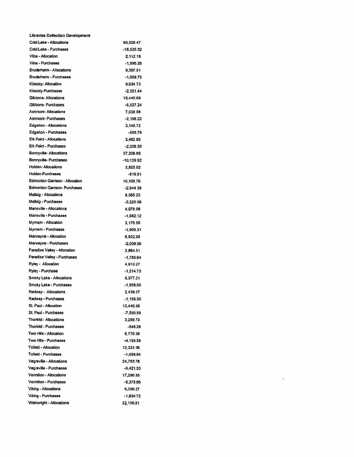| <b>Libraries Collection Development</b> |             |
|-----------------------------------------|-------------|
| Cold Lake - Allocations                 | 65,529.47   |
| Cold Lake - Purchases                   | -18,525,32  |
| Vilna - Allocation                      | 2,112,18    |
| Vilna - Purchases                       | -1,996.26   |
| Bruderheim - Allocations                | 9,307.51    |
| Bruderheim - Purchases                  | $-1,009.75$ |
| Kitscoty- Allocation                    | 9,634.73    |
| <b>Kitscoty-Purchases</b>               | $-2,321,44$ |
| Gibbons- Allocations                    | 15,440.69   |
| Gibbons-Purchases                       | $-5,527.24$ |
| <b>Ashmont-Allocations</b>              | 7.038.56    |
| <b>Ashmont-Purchases</b>                | $-2,106.22$ |
| <b>Edgerton - Allocations</b>           | 3,140.72    |
| Edgerton - Purchases                    | -509.79     |
| <b>Elk Point - Allocations</b>          | 3,462.80    |
| Elk Point - Purchases                   | $-2,326.20$ |
| Bonnyville-Allocations                  | 37,206.68   |
| Bonnyville- Purchases                   | -10,139.92  |
| Holden- Allocations                     | 2.825.02    |
| Holden-Purchases                        | -919.01     |
| Edmonton Garrison - Allocation          | 10,109.76   |
| Edmonton Garrson-Purchases              | $-2,944.39$ |
| Mallaig - Allocations                   | 8 385 23    |
| Mallaig - Purchases                     | -3,225.06   |
| Mannville - Allocations                 | 4,076.08    |
| Mannville - Purchases                   | $-1,682,12$ |
| Mymam - Allocation                      | 3,178.55    |
| Myrnam - Purchases                      | -1,609.31   |
| Marwayne - Allocation                   | 6,932.99    |
| Marwayne - Purchases                    | -2,039.36   |
| Paradise Valley - Allocation            | 3,884.51    |
| Paradise Valley - Purchases             | -1,785.64   |
| Ryley - Allocation                      | 4,913.27    |
| Ryley - Purchase                        | $-1,214.73$ |
| Smoky Lake - Allocations                | 5,377.21    |
| Smoky Lake - Purchases                  | -1,958.05   |
| Radway - Allocations                    | 2,439.37    |
| Radway - Purchases                      | $-1,156,30$ |
| St. Paul - Allocation                   | 13,440.68   |
| St. Paul - Purchases                    | $-7,550.58$ |
| Thorhild - Allocations                  | 3,269.73    |
| <b>Thorhild - Purchases</b>             | -548.28     |
| Two Hills - Allocation                  | 6,770.56    |
| Two Hills - Purchases                   | $-4.159.58$ |
| Tofield - Allocation                    | 13,324.06   |
| Tofield - Purchases                     | $-1.699.94$ |
| Vegreville - Allocations                | 24,793.78   |
| Vegreville - Purchases                  | $-5,421.33$ |
| Vermilion - Allocations                 | 17,290.85   |
| Vermilion - Purchases                   | $-5,378.66$ |
| Viking - Allocations                    | 6,300.27    |
| Viking - Purchases                      | $-1,834.72$ |
| Wainwright - Allocations                | 22,150 61   |
|                                         |             |

 $\mathcal{A}^{\mathcal{A}}$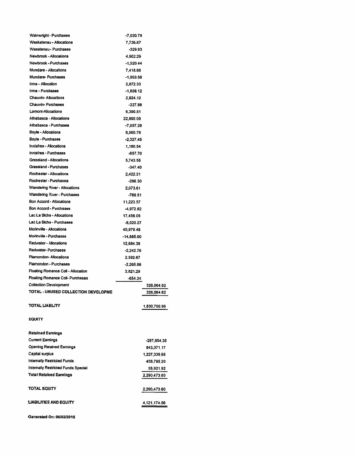| <b>Wainwright - Purchases</b>                         | -7,020.79   |               |
|-------------------------------------------------------|-------------|---------------|
| Waskatenau - Allocations                              | 7,736.67    |               |
| Wasatenau - Purchases                                 | $-329.93$   |               |
| Newbrook - Allocations                                | 4,902.29    |               |
| Newbrook - Purchases                                  | $-1,520.44$ |               |
| Mundare - Allocations                                 | 7,418.66    |               |
| Mundare-Purchases                                     | $-1,963.58$ |               |
| trma - Allocation                                     | 2,872.33    |               |
| Irma - Purchases                                      | $-1.859.12$ |               |
| Chauvin-Allocations                                   | 2,924.12    |               |
| <b>Chauvin-Purchases</b>                              | $-327.98$   |               |
| Lamont-Allocations                                    | 6,390.51    |               |
| Athabasca - Allocations                               | 22,890.09   |               |
| Athabasca - Purchases                                 | $-7,057.29$ |               |
| <b>Boyle - Allocations</b>                            | 6,560.79    |               |
| Boyle - Purchases                                     | $-2,327.45$ |               |
| Innisfree - Allocations                               | 1.180.54    |               |
| Innisfree - Purchases                                 | -697.70     |               |
| <b>Grassland - Allocations</b>                        | 5.743.55    |               |
| Grassland - Purchases                                 | $-347.40$   |               |
| Rochester - Allocations                               | 2.422.21    |               |
| Rochester - Purchasea                                 | $-296.30$   |               |
| <b>Wandering River - Allocations</b>                  | 2,073.61    |               |
| Wandering River - Purchases                           | $-789.51$   |               |
| Bon Accord - Allocations                              | 11,223.57   |               |
| Bon Accord - Purchases                                | $-4,972.82$ |               |
| Lac La Biche - Allocations                            | 17,458.05   |               |
| Lac La Biche - Purchases                              | -8,020.27   |               |
| Morinville - Allocations                              | 40,979.48   |               |
| Morinville - Purchases                                |             |               |
| Redwater - Allocations                                | -14,885.60  |               |
| Redwater-Purchases                                    | 12,684.36   |               |
| Plamondon- Allocations                                | $-2,242.76$ |               |
| Plamondon - Purchases                                 | 2,592.67    |               |
| Floating Romance Coll - Allocation                    | $-2,265.66$ |               |
|                                                       | 2,821.29    |               |
| Floating Romance Coll- Purchases                      | $-654.24$   |               |
| <b>Collection Development</b>                         |             | 326,064.62    |
| TOTAL - UNUSED COLLECTION DEVELOPME                   |             | 326,064.62    |
| <b>TOTAL LIABILITY</b>                                |             |               |
|                                                       |             | 1,830,700.96  |
| <b>EQUITY</b>                                         |             |               |
|                                                       |             |               |
| <b>Retained Earnings</b>                              |             |               |
| <b>Current Earnings</b>                               |             |               |
|                                                       |             | $-297,954.35$ |
| <b>Opening Retained Earnings</b>                      |             | 843.371.17    |
| Capital surplus<br><b>Internally Restricted Funds</b> |             | 1,227,339.66  |
|                                                       |             | 458,795.20    |
| Internally Restricted Funds Special                   |             | 58,921.92     |
| <b>Total Retained Earnings</b>                        |             | 2,290,473.60  |
| <b>TOTAL EQUITY</b>                                   |             |               |
|                                                       |             | 2,290,473.60  |
| <b>LIABILITIES AND EQUITY</b>                         |             |               |
|                                                       |             | 4,121,174.56  |
|                                                       |             |               |
| Generated On: 06/02/2015                              |             |               |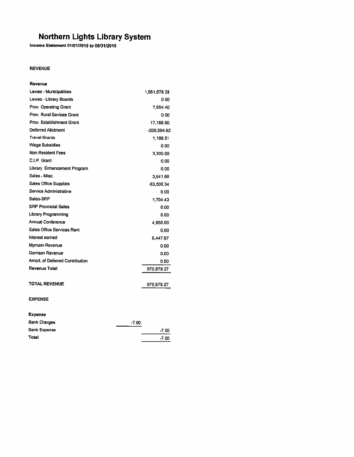Income Statement 01/01/2015 to 05/31/2015

### **REVENUE**

| Revenue                          |              |
|----------------------------------|--------------|
| Levies - Municipalities          | 1,061,678.28 |
| Levies - Library Boards          | 0.00         |
| Prov. Operating Grant            | 7.654.40     |
| <b>Prov. Rural Sevices Grant</b> | 0.00         |
| Prov. Establishment Grant        | 17,188.60    |
| Deferred Allotment               | -200,584.62  |
| <b>Travel Grants</b>             | 1,198.51     |
| <b>Wage Subsidies</b>            | 0.00         |
| Non Resident Fees                | 3,300.00     |
| C.I.P. Grant                     | 0.00         |
| Library Enhancement Program      | 0.00         |
| Sales - Misc.                    | 3,641.66     |
| Sales Office Supplies            | 63,500.34    |
| Service Administrative           | 0.00         |
| Sales-SRP                        | 1.704.43     |
| <b>SRP Provincial Sales</b>      | 0.00         |
| Library Programming              | 0.00         |
| Annual Conference                | 4.950.00     |
| Sales Office Services Rent       | 0.00         |
| Interest earned                  | 6,447.67     |
| Myrnam Revenue                   | 0.00         |
| <b>Garrison Revenue</b>          | 0.00         |
| Amort. of Deferred Contribution  | 0.00         |
| <b>Revenue Total</b>             | 970,679.27   |
|                                  |              |
| TOTAL REVENUE                    | 970,679.27   |
|                                  |              |

### **EXPENSE**

### Expense

| <b>Bank Charges</b> | $-7.00$ |
|---------------------|---------|
| <b>Bank Expense</b> | $-7.00$ |
| <b>Total</b>        | $-7.00$ |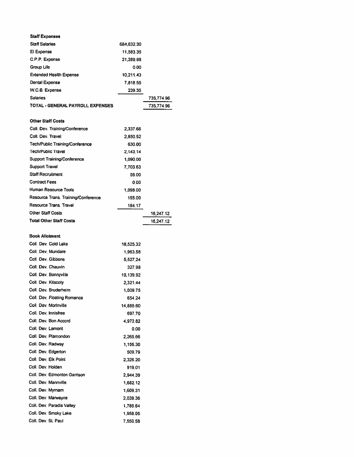| <b>Staff Expenses</b>               |            |            |
|-------------------------------------|------------|------------|
| <b>Staff Salaries</b>               | 684,632.30 |            |
| El Expense                          | 11,583.35  |            |
| C.P.P. Expense                      | 21,289.98  |            |
| Group Life                          | 0.00       |            |
| <b>Extended Health Expense</b>      | 10,211.43  |            |
| Dental Expense                      | 7,818.55   |            |
| W.C.B. Expense                      | 239.35     |            |
| Salaries                            |            | 735,774.96 |
| TOTAL - GENERAL PAYROLL EXPENSES    |            | 735,774.96 |
|                                     |            |            |
| <b>Other Staff Costs</b>            |            |            |
| Coll. Dev. Training/Conference      | 2,337.66   |            |
| Coll. Dev. Travel                   | 2,850.52   |            |
| Tech/Public Training/Conference     | 630.00     |            |
| <b>Tech/Public Travel</b>           | 2.143.14   |            |
| Support Training/Conference         | 1,090.00   |            |
| Support Travel                      | 7,703.63   |            |
| <b>Staff Recruitment</b>            | 55.00      |            |
| <b>Contract Fees</b>                | 0.00       |            |
| Human Resource Tools                | 1,098.00   |            |
| Resource Trans, Training/Conference |            |            |
| Resource Trans. Travel              | 155.00     |            |
|                                     | 184.17     |            |
| <b>Other Staff Costs</b>            |            | 18,247.12  |
| <b>Total Other Staff Costs</b>      |            | 18,247.12  |
|                                     |            |            |
| <b>Book Allotment</b>               |            |            |
| Coll. Dev. Cold Lake                | 18,525.32  |            |
| Coll. Dev. Mundare                  | 1,963.58   |            |
| Coll. Dev. Gibbons                  | 5,527.24   |            |
| Coll. Dev. Chauvin                  | 327.98     |            |
| Coll. Dev. Bonnyville               | 10,139.92  |            |
| Coll. Dev. Kitscoty                 | 2,321.44   |            |
| Coll. Dev. Bruderheim               | 1,009.75   |            |
| Coll. Dev. Floating Romance         | 654.24     |            |
| Coll. Dev. Morinville               | 14,885.60  |            |
| Coll. Dev. Innisfree                | 697.70     |            |
| Coll. Dev. Bon Accord               | 4,972.82   |            |
| Coll. Dev. Lamont                   | 0.00       |            |
| Coll. Dev. Plamondon                | 2,265.66   |            |
| Coll. Dev. Radway                   | 1,156.30   |            |
| Coli. Dev. Edgerton                 | 509.79     |            |
| Coll. Dev. Elk Point                | 2.326.20   |            |
| Coll. Dev. Holden                   | 919.01     |            |
| Coll. Dev. Edmonton Garrison        | 2,944.39   |            |
| Coll. Dev. Mannville                | 1,682.12   |            |
| Coll. Dev. Myrnam                   | 1,609.31   |            |
| Coll. Dev. Marwayne                 | 2,039.36   |            |
| Coll. Dev. Paradis Valley           | 1,785.64   |            |
| Coll. Dev. Smoky Lake               | 1,958.05   |            |
| Coll. Dev. St. Paul                 | 7,550.58   |            |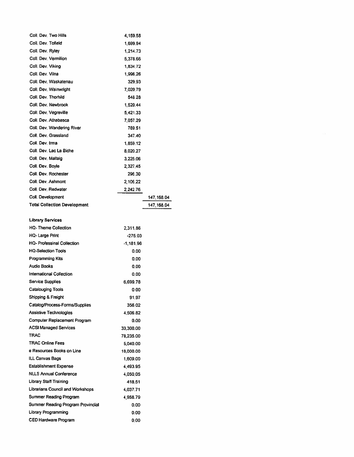| Coll. Dev. Two Hills                | 4,159.58  |             |
|-------------------------------------|-----------|-------------|
| Coll, Dev, Tofield                  | 1,699.94  |             |
| Coll. Dev. Ryley                    | 1,214.73  |             |
| Coll. Dev. Vermilion                | 5,378.66  |             |
| Coll. Dev. Viking                   | 1,834.72  |             |
| Coll. Dev. Vilna                    | 1,996.26  |             |
| Coll. Dev. Waskatenau               | 329.93    |             |
| Coll. Dev. Wainwright               | 7,020.79  |             |
| Coll. Dev. Thorhild                 | 548.28    |             |
| Coll. Dev. Newbrook                 | 1,520.44  |             |
| Coll. Dev. Vegreville               | 5,421.33  |             |
| Coll. Dev. Athabasca                | 7,057.29  |             |
| Coll, Dev, Wandering River          | 789.51    |             |
| Coll. Dev. Grassland                | 347.40    |             |
| Coll. Dev. Irma                     | 1.859.12  |             |
| Coll. Dev. Lac La Biche             | 8,020.27  |             |
| Coll. Dev. Mallaig                  | 3,225.06  |             |
| Coll. Dev. Boyle                    | 2,327.45  |             |
| Coll. Dev. Rochester                | 296.30    |             |
| Coll. Dev. Ashmont                  | 2,106.22  |             |
| Coll. Dev. Redwater                 | 2,242.76  |             |
| Coll. Development                   |           | 147, 168.04 |
| <b>Total Collection Development</b> |           | 147, 168.04 |
|                                     |           |             |
| <b>Library Services</b>             |           |             |
| <b>HQ-Theme Collection</b>          | 2,311.86  |             |
| HQ- Large Print                     | -275.03   |             |
| HQ- Professinal Collection          | -1,181.96 |             |
| <b>HQ-Selection Tools</b>           | 0.00      |             |
| Programming Kits                    | 0.00      |             |
| <b>Audio Books</b>                  | 0.00      |             |
| International Collection            | 0.00      |             |
| Service Supplies                    | 6,699.78  |             |
| Catalouging Tools                   | 0.00      |             |
| Shipping & Freight                  | 91.97     |             |
| Catalog/Process-Forms/Supplies      | 356.02    |             |
| <b>Assistive Technologies</b>       | 4,506.82  |             |
| Computer Replacement Program        | 0.00      |             |
| <b>ACSI Managed Services</b>        | 33,300.00 |             |
| TRAC                                | 78.235.00 |             |
| <b>TRAC Online Fees</b>             | 5,040.00  |             |
| e Resources Books on Line           | 10,000.00 |             |
| ILL Canvas Bags                     | 1,609.00  |             |
| <b>Establishment Expense</b>        | 4,493.95  |             |
| <b>NLLS Annual Conference</b>       | 4,050.05  |             |
| <b>Library Staff Training</b>       | 418.51    |             |
| Librarians Council and Workshops    | 4,037.71  |             |
| Summer Reading Program              | 4,958.79  |             |
| Summer Reading Program Provincial   | 0.00      |             |
| Library Programming                 | 0.00      |             |
| CED Hardware Program                | 0.00      |             |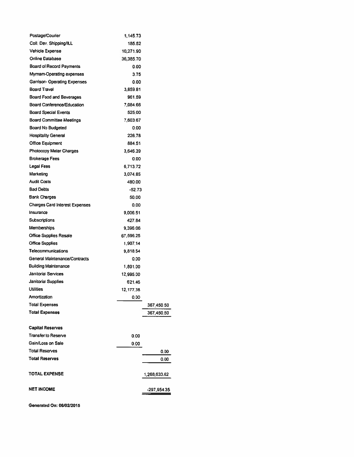| Postage/Courier                       | 1 145.73  |              |
|---------------------------------------|-----------|--------------|
| Coll, Dev. Shipping/ILL               | 185.52    |              |
| <b>Vehicle Expense</b>                | 10 271.90 |              |
| Online Database                       | 36 385 70 |              |
| <b>Board of Record Payments</b>       | 0.00      |              |
| Myrnam-Operating expenses             | 3.75      |              |
| Garrison- Operating Expenses          | 0.00      |              |
| <b>Board Travel</b>                   | 3.859.81  |              |
| Board Food and Beverages              | 961.59    |              |
| Board Conference/Education            | 7,084.66  |              |
| <b>Board Special Events</b>           | 525.00    |              |
| <b>Board Committee Meetings</b>       | 7,603.67  |              |
| <b>Board No Budgeted</b>              | 0.00      |              |
| <b>Hospitality General</b>            | 226.78    |              |
| <b>Office Equipment</b>               | 884.51    |              |
| Photocopy Meter Charges               | 3,646.39  |              |
| <b>Brokerage Fees</b>                 |           |              |
|                                       | 0.00      |              |
| Legal Fees<br>Marketing               | 6,713.72  |              |
|                                       | 3,074.85  |              |
| <b>Audit Costs</b>                    | 480.00    |              |
| <b>Bad Debts</b>                      | $-52.73$  |              |
| <b>Bank Charges</b>                   | 50.00     |              |
| <b>Charges Card Interest Expenses</b> | 0.00      |              |
| Insurance                             | 9,006.51  |              |
| Subscriptions                         | 427.84    |              |
| Memberships                           | 9,396.06  |              |
| <b>Office Supplies Resale</b>         | 67,596.25 |              |
| <b>Office Supplies</b>                | 1,907.14  |              |
| Telecommunications                    | 9,818.54  |              |
| General Maintenance/Contracts         | 0.00      |              |
| <b>Building Maintenance</b>           | 1,801.00  |              |
| <b>Janitorial Services</b>            | 12,995.00 |              |
| <b>Janitorial Supplies</b>            | 621.46    |              |
| <b>Utilities</b>                      | 12,177.38 |              |
| Amortization                          | 0.00      |              |
| <b>Total Expenses</b>                 |           | 367,450.50   |
| <b>Total Expenses</b>                 |           | 367,450.50   |
|                                       |           |              |
| <b>Capital Reserves</b>               |           |              |
| <b>Transfer to Reserve</b>            | 0.00      |              |
| Gain/Loss on Sale                     | 0.00      |              |
| Total Reserves                        |           | 0.00         |
| <b>Total Reserves</b>                 |           | 0.00         |
|                                       |           |              |
| TOTAL EXPENSE                         |           | 1,268,633.62 |
|                                       |           |              |
| <b>NET INCOME</b>                     |           | -297,954.35  |
|                                       |           |              |

Generated On: 06/02/2015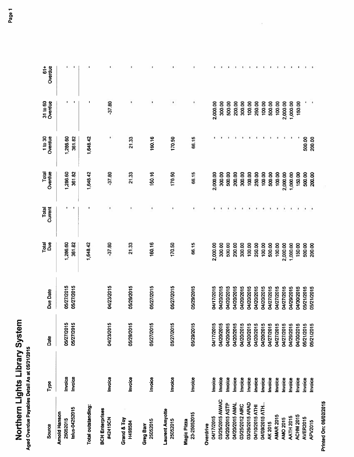# **Northern Lights Library System**<br>Aged Overdue Payables Detail As at 05/31/2015

| <b>Source</b>                               | Type                      | Date                                                               | Due Date                 | Total<br>Due       | Current<br>Total | Total<br>Overdue   | Overdue<br>1 to 30 | Overdue<br>31 to 60 | $\frac{4}{5}$<br>Overdue |
|---------------------------------------------|---------------------------|--------------------------------------------------------------------|--------------------------|--------------------|------------------|--------------------|--------------------|---------------------|--------------------------|
| telus-04252015<br>Arnold Hanson<br>25052015 | <b>Invoice</b><br>Invoice | 05/27/2015<br>05/27/2015                                           | 05/27/2015<br>05/27/2015 | 1,286.60<br>361.82 |                  | 361.82<br>1,286.60 | 1,286,60<br>361.82 |                     | ٠<br>٠                   |
| Total outstanding:                          |                           |                                                                    |                          | 1,648.42           |                  | 1,648.42           | 1,648.42           |                     |                          |
| <b>BCH</b> Enterprises<br>#42415CN          | Invoice                   | 04/23/2015                                                         | 04/23/2015               | $-37.80$           |                  | $-37.80$           |                    | $-37.80$            |                          |
| Grand & Toy<br><b>H498584</b>               | Invoice                   | 5<br>05/29/201                                                     | 05/29/2015               | 21.33              | ٠                | 21.33              | 21.33              |                     |                          |
| 25052015<br>Greg Barr                       | Invoice                   | 05/27/2015                                                         | 05/27/2015               | 160.16             | ٠                | 160.16             | 160.16             |                     |                          |
| <b>Laurent Amyotte</b><br>25052015          | Invoice                   | မာ<br>05/27/201                                                    | 05/27/2015               | 170.50             |                  | 170.50             | 170.50             |                     |                          |
| 23-25052015<br>Magic Pizza                  | Invoice                   | 5<br>05/29/201                                                     | 05/29/2015               | 66.15              |                  | 66.15              | 66.15              | ۰                   | ۱                        |
| 04/17/2015<br>Overdrive                     | Invoice                   |                                                                    | 04/17/2015               | 2,000.00           |                  | 2,000.00           |                    | 2,000.00            |                          |
| 03/25/2015 AWAIC                            | Invoice                   |                                                                    | 04/20/2015               | 300,00             |                  | 300.00             |                    | 300,00              |                          |
| 04/20/2015 ASTP<br>04/20/2015 AMAL          | Invoice<br>Invoice        | 0417/2015<br>04/20/2015<br>04/20/2015<br>04/20/2015<br>04/20/2015  | 04/20/2015<br>04/20/2015 | 500.00<br>200.00   |                  | 500,00<br>200.00   |                    | 200.00<br>500.00    |                          |
| 03/25/2012 AIRC                             | Invoice                   |                                                                    | 04/20/2015               | 300.00             |                  | 300,00             |                    | 300.00              |                          |
| 03/26/2015 ARAD                             | Invoice                   |                                                                    | 04/20/2015               | 100.00             |                  | 100.00             |                    | 100.00              |                          |
| 04/10/2015 ATHI                             | Invoice                   | 04/20/2015                                                         | 04/20/2015               | 250.00             |                  | 250.00             |                    | 250.00              |                          |
| 04/09/2015 ATH.<br><b>AK 2015</b>           | Invoice                   | 04/20/2015<br>04/27/2015                                           | 04/20/2015               | 100.00             |                  | 100.00             |                    | 100,00              |                          |
| <b>AMAR 2015</b>                            | Invoice<br>Invoice        |                                                                    | 04/27/2015<br>04/27/2015 | 500.00<br>100.00   |                  | 500,00<br>100.00   |                    | 100.00<br>500.00    |                          |
| <b>AMO 2015</b>                             | Invoice                   | 04/27/2015<br>04/27/2015<br>04/30/2015<br>04/30/2015<br>05/21/2015 | 04/27/2015               | 2,000.00           |                  | 2,000.00           |                    | 2,000.00            |                          |
| <b>AATH 2015</b>                            | Invoice                   |                                                                    | 04/29/2015               | 1,000.00           |                  | 1,000.00           |                    | 1,000.00            |                          |
| ACHM 2015                                   | Invoice                   |                                                                    | 04/30/2015               | 150.00             |                  | 150.00             |                    | 150.00              |                          |
| AVER2015                                    | nvoice                    |                                                                    | 05/21/2015               | 500.00             |                  | 500.00             | 500,00             |                     |                          |
| APV2015                                     | Invoice                   | 05/21/2015                                                         | 05/21/2015               | 200,00             |                  | 200.00             | 200.00             |                     |                          |

**Printed On: 06/02/2015**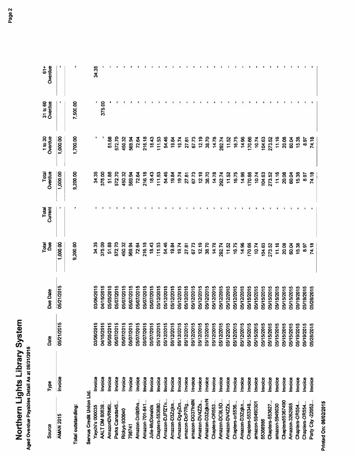| Source                   | Type           | Date       | Due Date   | Total<br>Due | Total<br>Curren | Overdue<br>Total | Overdue<br>1 to 30 | Overdue<br>31 to 60 | Overdue<br>$\frac{1}{6}$ |
|--------------------------|----------------|------------|------------|--------------|-----------------|------------------|--------------------|---------------------|--------------------------|
| <b>AMAN 2015</b>         | Invoice        | 05/21/2015 | 05/21/2015 | 1,000.00     |                 | 1,000.00         | 1,000.00           |                     |                          |
| Total outstanding:       |                |            |            | 9,200.00     |                 | 9,200.00         | 1,700.00           | 7,500.00            |                          |
| Servus Credit Union Ltd. |                |            |            |              |                 |                  |                    |                     |                          |
| Yaychi's 000035          | Invoice        | 03/06/2015 | 03/06/2015 | 34.35        |                 | 34.35            |                    |                     | 34.35                    |
| AALT DM 80639            | Invoice        | 04/15/2015 | 04/15/2015 | 375,00       |                 | 375,00           |                    | 375.00              |                          |
| AmazonDVRM5t             | Invoice        | 05/05/2015 | 05/05/2015 | 51.88        |                 | 51.88            | 51.88              |                     |                          |
| Parks Canada45           | Invoice        | 05/07/2015 | 35/07/2015 | 572.70       |                 | 572.70           | 572.70             |                     |                          |
| Rickys-930040            | Invoice        | 05/07/2015 | 05/07/2015 | 450.32       |                 | 450,32           | 450.32             |                     |                          |
| 798741                   | Invoice        | 05/07/2015 | 05/07/2015 | 569.94       |                 | 569,94           | 569,94             |                     |                          |
| Amazon-Dn9t5hn           | nvoice         | 05/07/2015 | 05/07/2015 | 72.64        |                 | 72.64            | 72.64              |                     |                          |
| Amazon-701-841           | Invoice        | 05/07/2015 | 05/07/2015 | 216.18       |                 | 216.18           | 216.18             |                     |                          |
| Julie-McDonalds          | Invoice        | 05/07/2015 | 05/07/2015 | 18.43        |                 | 18,43            | 18.43              |                     |                          |
| Chapters-553680          | <b>Invoice</b> | 05/12/2015 | 05/12/2015 | 111.53       |                 | 111.53           | 111.53             |                     |                          |
| Amazon-DJFfZTn           | Invoice        | 05/12/2015 | 05/12/2015 | 54,46        |                 | 54.46            | 54.46              |                     |                          |
| Amazon-D3Zzjkn           | Invoice        | 05/12/2015 | 05/12/2015 | 19.84        |                 | 19.84            | 19.84              |                     |                          |
| Amazon-Dg4yZm            | hvoice         | 05/12/2015 | 05/12/2015 | 19.74        |                 | 19.74            | 19,74              |                     |                          |
| amazon-DcP7Rg            | Invoice        | 05/12/2015 | 05/12/2015 | 27.81        |                 | 27.81            | 27,81              |                     |                          |
| amazon-DG37fn8N          | Invoice        | 05/12/2015 | 05/12/2015 | 67.73        |                 | 67.73            | 67.73              |                     |                          |
| Amazon-DV4ZZs            | <b>Invoice</b> | 05/12/2015 | 05/12/2015 | 12.19        |                 | 12.19            | 12.19              |                     |                          |
| Amazon-D3ZzjknrN         | Invoice        | 05/12/2015 | 05/12/2015 | 38.70        |                 | 38.70            | 38.70              |                     |                          |
| Chapters-OR553.          | Invoice        | 05/12/2015 | 05/12/2015 | 14.78        |                 | 14.78            | 14.78              |                     |                          |
| Amazon-DC9L5D            | <b>Invoice</b> | 05/12/2015 | 05/12/2015 | 292,74       |                 | 292.74           | 292.74             |                     |                          |
| Amazon-DV4ZZs            | hvoice         | 05/12/2015 | 05/12/2015 | 11.52        |                 | 11.52            | 11.52              |                     |                          |
| Chapters-or5536          | Invoice        | 05/12/2015 | 05/12/2015 | 16.75        |                 | 16.75            | 16.75              |                     |                          |
| Amazon-D3Zzjkn           | hvoice         | 05/12/2015 | 05/12/2015 | 14,96        |                 | 14,96            | 14,96              |                     |                          |
| Chapters-553348.         | nvoice         | 05/15/2015 | 05/15/2015 | 170.66       |                 | 170.66           | 170.66             |                     |                          |
| amazon-59490301          | nvoice         | 05/15/2015 | 05/15/2015 | 10.74        |                 | 10.74            | 10.74              |                     |                          |
| 55368986                 | nvoice         | 05/15/2015 | 05/15/2015 | 104.63       |                 | 104.63           | 104.63             |                     |                          |
| Chapters-553627          | Invoice        | 05/15/2015 | 05/15/2015 | 273.52       |                 | 273.52           | 273.52             |                     |                          |
| amazon-5949030           | Invoice        | 05/15/2015 | 05/15/2015 | 11.16        |                 | 11.16            | 11,16              |                     |                          |
| Chapters55367490         | <b>Invoice</b> | 05/15/2015 | 05/15/2015 | 20.08        |                 | 20.08            | 20,08              |                     |                          |
| Amazon-3262665           | nvoice         | 05/15/2015 | 05/15/2015 | 60,04        |                 | 60.04            | 60.04              |                     |                          |
| Chapters-OR554.          | Invoice        | 05/19/2015 | 05/19/2015 | 15.38        |                 | 15.38            | 15.38              |                     |                          |
| Chapters-OR554.          | Invoice        | 05/19/2015 | 05/19/2015 | 8.97         |                 | 8.97             | 8.97               |                     |                          |
| Party City -22052.       | Invoice        | 05/28/2015 | 05/28/2015 | 74.18        |                 | 74.18            | 74.18              |                     |                          |
|                          |                |            |            |              |                 |                  |                    |                     |                          |

**Printed On: 06/02/2015**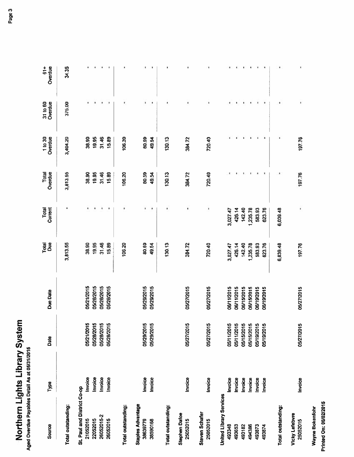| Source                                   | Type    | Date       | <b>Due Date</b> | Total<br>Due | Total<br>Current | Overdue<br>Total | 1 to 30<br>Overdue | 31 to 60<br>Overdue | Overdue<br>$\frac{1}{6}$ |
|------------------------------------------|---------|------------|-----------------|--------------|------------------|------------------|--------------------|---------------------|--------------------------|
| Total outstanding:                       |         |            |                 | 3,813.55     |                  | 3,813,55         | 3,404.20           | 375.00              | 34.35                    |
| St. Paul and District Co-op<br>21052015  | Invoice | 05/21/2015 | 05/21/2015      | 38.90        |                  | 38.90            | 38.90              |                     | ۰                        |
| 22052015                                 | Invoice | 05/28/2015 | 05/28/2015      | 19.95        |                  | 19,95            | 19.95              |                     |                          |
| 26052015-2                               | Invoice | 05/28/2015 | 05/28/2015      | 31.46        |                  | 31,46            | 31.46              |                     | ۰                        |
| 26052015                                 | Invoice | 05/28/2015 | 05/28/2015      | 15.89        |                  | 15,89            | 15,89              | ×                   | $\,$                     |
| Total outstanding:                       |         |            |                 | 106,20       |                  | 106.20           | 106.20             |                     |                          |
| <b>Staples Advantage</b><br>38639779     | Invoice | 05/29/2015 | 05/29/2015      | 80.59        |                  | 80.59            | 80.59              |                     |                          |
| 38590168                                 | Invoice | 05/29/2015 | 05/29/2015      | 49.54        | ٠                | 49.54            | 49.54              | ٠                   | ٠                        |
| Total outstanding:                       |         |            |                 | 130.13       |                  | 130.13           | 130.13             |                     |                          |
| <b>Stephen Dafoe</b><br>25052015         | Invoice | 05/27/2015 | 05/27/2015      | 384.72       |                  | 384.72           | 384.72             | ٠                   |                          |
| <b>Steven Schafer</b><br>25052015        | Invoice | 05/27/2015 | 05/27/2015      | 720.40       | ٠                | 720.40           | 720.40             |                     | ٠                        |
| <b>United Library Services</b><br>493348 | Invoice | 05/11/2015 | 06/11/2015      | 3,027.47     | 3,027.47         |                  |                    |                     |                          |
| 493653                                   | Invoice | 05/11/2015 | 06/11/2015      | 426.14       | 426.14           |                  |                    |                     | ۰                        |
| 493182                                   | Invoice | 05/15/2015 | 06/15/2015      | 142.40       | 142.40           |                  |                    |                     |                          |
| 494386                                   | Invoice | 05/15/2015 | 06/15/2015      | ,235.78      | 1,235.78         |                  |                    |                     |                          |
| 493873                                   | Invoice | 05/19/2015 | 06/19/2015      | 583.93       | 583.93           |                  |                    |                     |                          |
| 493874                                   | Invoice | 05/19/2015 | 06/19/2015      | 623.76       | 623.76           | п                | ٠                  | ٠                   | ۰                        |
| Total outstanding:                       |         |            |                 | 6,039.48     | 6,039.48         |                  |                    |                     | ۰                        |
| Vicky Lefebvre<br>25052015               | Invoice | 05/27/2015 | 05/27/2015      | 197.76       | ٠                | 197.76           | 197.76             | ٠                   | ×                        |
| Wayne Bokenfohr                          |         |            |                 |              |                  |                  |                    |                     |                          |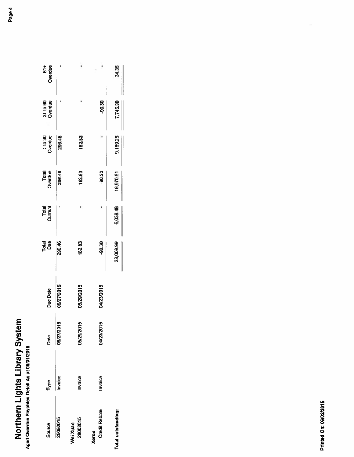| Source                        | Type    | Date       | Due Date   | Total<br>Due | Total<br>Current | Total<br>Overdue | 1 to 30<br>Overdue | 31 to 60<br>Overdue | 61+<br>Overdue |
|-------------------------------|---------|------------|------------|--------------|------------------|------------------|--------------------|---------------------|----------------|
| 25052015                      | Invoice | 05/27/2015 | 05/27/2015 | 296.46       |                  | 296.46           | 296,46             |                     |                |
| 28052015<br>Wei Xuan          | Invoice | 05/29/2015 | 05/29/2015 | 182.83       |                  | 182.83           | 182.83             |                     |                |
| <b>Credit Rebate</b><br>Xerox | Invoice | 04/23/2015 | 04/23/2015 | -90.30       |                  | $-90.30$         |                    | -90.30              |                |
| Total outstanding:            |         |            |            | 23,009.99    | 6,039.48         | 16,970.51        | 9,189.26           | 7,746.90            | 34.35          |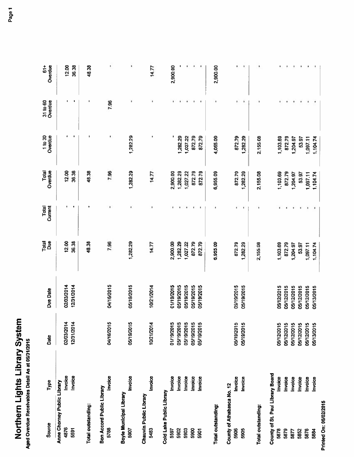| $\frac{1}{1}$<br>ţ<br>t |
|-------------------------|
|                         |
|                         |
| ı                       |

| Source                                   | Type           | Date       | <b>Due Date</b> | Total<br>Due | Current<br>Total | Overdue<br>Total | Overdue<br>1 to 30 | Overdue<br>31 to 60 | Overdue<br>$61+$ |
|------------------------------------------|----------------|------------|-----------------|--------------|------------------|------------------|--------------------|---------------------|------------------|
| Anne Chorney Public Library<br>4876      | Invoice        | 02/03/2014 | 02/03/2014      | 12.00        |                  | 12.00            |                    |                     | 12.00            |
| 5591                                     | Invoice        | 12/31/2014 | 12/31/2014      | 36.38        |                  | 36.38            | л                  | ٠                   | 36.38            |
| Total outstanding:                       |                |            |                 | 48.38        |                  | 48.38            |                    |                     | 48.38            |
| Bon Accord Public Library<br>5788        | Invoice        | 04/16/2015 | 04/16/2015      | 7.96         |                  | 7.96             |                    | 7.96                | ٠                |
| Boyle Municipal Library<br>5907          | Invoice        | 05/19/2015 | 05/19/2015      | 1,282.29     |                  | 1,282.29         | 1,282.29           |                     |                  |
| Chauvin Public Library<br>5483           | Invoice        | 10/21/2014 | 10/21/2014      | 14.77        |                  | 14.77            |                    |                     | 14.77            |
| Cold Lake Public Library<br>5597         | Invoice        | 01/19/2015 | 01/19/2015      | 2,900.00     |                  | 2,900,00         |                    |                     | 2,900,00         |
| 5902                                     | Invoice        | 05/19/2015 | 05/19/2015      | 1,282.29     |                  | 1,282.29         | 1,282.29           |                     |                  |
| 5903                                     | hvoice         | 05/19/2015 | 05/19/2015      | 1,027.22     |                  | 1,027.22         | 1,027.22           |                     |                  |
| 5900                                     | Invoice        | 05/19/2015 | 05/19/2015      | 872.79       |                  | 872.79           | 872.79             |                     |                  |
| 5901                                     | Invoice        | 05/19/2015 | 05/19/2015      | 872.79       |                  | 872.79           | 872.79             | ٠                   | ٠                |
| Total outstanding:                       |                |            |                 | 6,955.09     |                  | 6,955.09         | 4,055.09           |                     | 2,900.00         |
| County of Athabasca No. 12<br>5906       | Invoice        | 05/19/2015 | 05/19/2015      | 872.79       |                  | 872.79           | 872.79             |                     |                  |
| 5905                                     | Invoice        | 05/19/2015 | 05/19/2015      | 1,282.29     | ٠                | 1,282.29         | 1,282.29           | ı<br>٠              | ٠                |
| Total outstanding:                       |                |            |                 | 2,155.08     |                  | 2,155.08         | 2,155.08           |                     |                  |
| County of St. Paul Library Board<br>5878 | Invoice        | 05/12/2015 | 05/12/2015      | 1,103.69     |                  | 1,103.69         | 1,103.69           |                     |                  |
| 5879                                     | Invoice        | 05/12/2015 | 05/12/2015      | 872.79       |                  | 872.79           | 872.79             |                     |                  |
| 5877                                     | Invoice        | 05/12/2015 | 05/12/2015      | 1,204.97     |                  | 204.97           | 1,204.97           |                     |                  |
| 5852                                     | <b>Invoice</b> | 05/12/2015 | 05/12/2015      | 53.97        |                  | 53,97            | 53.97              |                     |                  |
| 5876                                     | Invoice        | 05/12/2015 | 05/12/2015      | 1,097.11     |                  | 1,097.11         | 1,097.11           | ٠                   |                  |
| 5884                                     | Invoice        | 05/13/2015 | 05/13/2015      | 1,104.74     |                  | 1,104.74         | 1,104.74           | ٠                   | ×                |
| Printed On: 06/02/2015                   |                |            |                 |              |                  |                  |                    |                     |                  |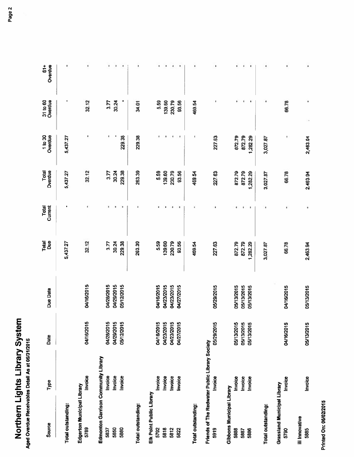| Source                                         | Туре           | Date                                                 | Due Date   | Total<br>Due | Current<br>Total | Overdue<br>Total | Overdue<br>1 to 30 | 31 to 60<br>Overdue | $\frac{1}{6}$<br>Overdue |
|------------------------------------------------|----------------|------------------------------------------------------|------------|--------------|------------------|------------------|--------------------|---------------------|--------------------------|
| Total outstanding:                             |                |                                                      |            | 5,437.27     |                  | 5,437.27         | 5,437.27           |                     | ٠                        |
| Edgerton Municipal Library<br>5789             | <b>Invoice</b> | 04/16/2015                                           | 04/16/2015 | 32.12        |                  | 32.12            |                    | 32.12               |                          |
| Edmonton Garrison Community Library            |                |                                                      |            |              |                  |                  |                    |                     |                          |
| 5837                                           | Invoice        |                                                      | 04/28/2015 | 3.77         |                  | 3.77             |                    | 3.77                | ۰                        |
| 5850                                           | Invoice        | 04/28/2015<br>04/29/2015<br>05/12/2015               | 04/29/2015 | 30.24        |                  | 30.24            |                    | 30.24               | $\ast$                   |
| 5880                                           | Invoice        |                                                      | 05/12/2015 | 229,38       | ٠                | 229.38           | 229,38             |                     | $\ast$                   |
| Total outstanding:                             |                |                                                      |            | 263.39       |                  | 263.39           | 229.38             | 34.01               |                          |
| Elk Point Public Library                       |                |                                                      |            |              |                  |                  |                    |                     |                          |
| 5792                                           | Invoice        |                                                      | 04/16/2015 | 5.59         |                  | 5,59             |                    | 5.59                |                          |
| 5818                                           | Invoice        | 04/16/2015<br>04/23/2015<br>04/23/2015<br>04/27/2015 | 04/23/2015 | 139,60       |                  | 139.60           |                    | 139.60              |                          |
| 5812                                           | Invoice        |                                                      | 04/23/2015 | 230.79       |                  | 230.79           |                    | 230.79              | $\ddot{\phantom{0}}$     |
| 5822                                           | Invoice        |                                                      | 04/27/2015 | 93,56        |                  | 93.56            |                    | 93.56               | ٠                        |
| Total outstanding:                             |                |                                                      |            | 469,54       |                  | 469.54           |                    | 469.54              | ٠                        |
| Friends of The Redwater Public Library Society |                |                                                      |            |              |                  |                  |                    |                     |                          |
| 5919                                           | Invoice        | 05/29/2015                                           | 05/29/2015 | 227.63       |                  | 227.63           | 227.63             |                     | ٠                        |
| Gibbons Municipal Library                      |                |                                                      |            |              |                  |                  |                    |                     |                          |
| 5888                                           | Invoice        | 05/13/2015<br>05/13/2015<br>05/13/2015               | 05/13/2015 | 872.79       |                  | 872.79           | 872.79             |                     | ٠                        |
| 5887                                           | Invoice        |                                                      | 05/13/2015 | 872.79       |                  | 872.79           | 872.79             |                     | ٠                        |
| 5886                                           | Invoice        |                                                      | 05/13/2015 | 1,282.29     |                  | 1,282.29         | 1,282.29           |                     | ٠                        |
| Total outstanding:                             |                |                                                      |            | 3,027.87     |                  | 3,027.87         | 3,027.87           |                     | ٠                        |
| <b>Grassland Municipal Library</b><br>5790     | <b>Invoice</b> | 04/16/2015                                           | 04/16/2015 | 66.78        |                  | 66.78            | ٠                  | 66.78               |                          |
| iii Innovative<br>5885                         | Invoice        | 05/13/2015                                           | 05/13/2015 | 2,463.94     |                  | 2,463.94         | 2,463,94           | ۰                   |                          |
|                                                |                |                                                      |            |              |                  |                  |                    |                     |                          |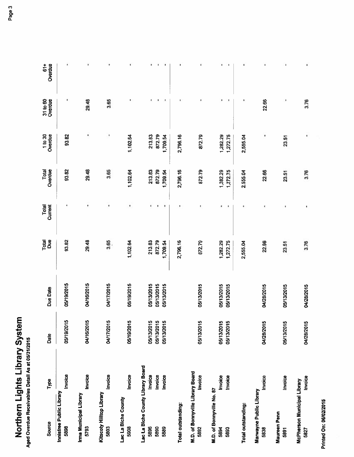| Source                                                    | Type                          | Date                                   | Due Date                               | Total<br>Due                 | Total<br>Current | Overdue<br>Total             | Overdue<br>1 to 30           | 31 to 60<br>Overdue | Overdue<br>$\frac{4}{5}$ |
|-----------------------------------------------------------|-------------------------------|----------------------------------------|----------------------------------------|------------------------------|------------------|------------------------------|------------------------------|---------------------|--------------------------|
| Innisfree Public Library<br>5898                          | Invoice                       | 05/19/2015                             | 05/19/2015                             | 93.82                        |                  | 93.82                        | 93,82                        |                     | ī                        |
| Ima Municipal Library<br>5793                             | Invoice                       | 04/16/2015                             | 04/16/2015                             | 29,48                        |                  | 29,48                        |                              | 29.48               |                          |
| Kitscoty Hilltop Library<br>5803                          | Invoice                       | 04/17/2015                             | 04/17/2015                             | 3.65                         | ٠                | 3.65                         |                              | 3.65                |                          |
| Lac La Biche County<br>5908                               | Invoice                       | 05/19/2015                             | 05/19/2015                             | 1,102.64                     |                  | 1,102.64                     | 1,102.64                     |                     |                          |
| Lac La Biche County Library Board<br>5896<br>5890<br>5889 | Invoice<br>Invoice<br>Invoice | 05/13/2015<br>05/13/2015<br>05/13/2015 | 05/13/2015<br>05/13/2015<br>05/13/2015 | 213,83<br>872.79<br>1,709.54 |                  | 872.79<br>213.83<br>1,709.54 | 872.79<br>213.83<br>1,709.54 |                     |                          |
| Total outstanding:                                        |                               |                                        |                                        | 2,796.16                     |                  | 2,796.16                     | 2,796.16                     |                     |                          |
| M.D. of Bonnyville Library Board<br>5892                  | Invoice                       | 05/13/2015                             | 05/13/2015                             | 872.79                       |                  | 872.79                       | 872.79                       |                     |                          |
| M.D. of Bonnyville No. 87<br>5894<br>5893                 | <b>Invoice</b><br>Invoice     | 05/13/2015<br>05/13/2015               | 05/13/2015<br>05/13/2015               | 1,282.29<br>1,272.75         | ×                | 1,282.29<br>1,272.75         | 1,282.29<br>1,272.75         |                     |                          |
| Total outstanding:                                        |                               |                                        |                                        | 2,555.04                     |                  | 2,555.04                     | 2,555.04                     |                     |                          |
| <b>Marwayne Public Library</b><br>5838                    | Invoice                       | 04/28/2015                             | 04/28/2015                             | 22.66                        |                  | 22.66                        |                              | 22.66               |                          |
| <b>Maureen Penn</b><br>5891                               | Invoice                       | 05/13/2015                             | 05/13/2015                             | 23.51                        |                  | 23.51                        | 23.51                        | J.                  |                          |
| <b>McPherson Municipal Library</b><br>5827                | <b>Invoice</b>                | 04/28/2015                             | 04/28/2015                             | 3.76                         | ٠                | 3.76                         | ۰                            | 3.76                |                          |

Printed On: 06/02/2015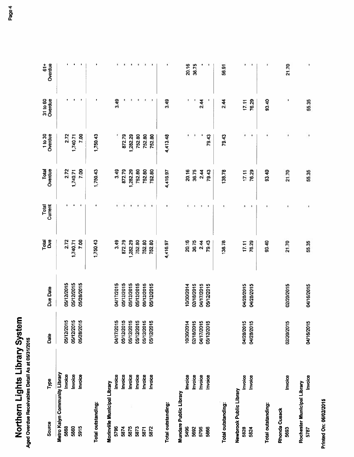| Page <sup>7</sup> |  |  |
|-------------------|--|--|
|                   |  |  |
|                   |  |  |
|                   |  |  |

| Source                                | Type           | Date       | Due Date   | Total<br>Due | Current<br>Total | Overdue<br>Total | 1 to 30<br>Overdue | Overdue<br>31 to 60 | Overdue<br>$\frac{4}{5}$ |
|---------------------------------------|----------------|------------|------------|--------------|------------------|------------------|--------------------|---------------------|--------------------------|
| Metro Kalyn Community Library<br>5868 | Invoice        | 05/12/2015 | 05/12/2015 | 2.72         |                  | 2.72             |                    |                     |                          |
| 5860                                  | Invoice        | 05/12/2015 | 05/12/2015 | 1,740.71     |                  | 1,740.71         | 2.72<br>1,740.71   |                     |                          |
| 5915                                  | <b>Invoice</b> | 05/28/2015 | 05/28/2015 | 7.00         |                  | 7.00             | 7.00               |                     |                          |
|                                       |                |            |            |              |                  |                  |                    |                     |                          |
| Total outstanding:                    |                |            |            | 1,750.43     |                  | 1,750.43         | 1,750.43           |                     |                          |
| Morinville Municipal Library          |                |            |            |              |                  |                  |                    |                     |                          |
| 5796                                  | Invoice        | 04/17/2015 | 04/17/2015 | 3.49         | ۱                | 3,49             |                    | 3.49                |                          |
| 5874                                  | Invoice        | 05/12/2015 | 05/12/2015 | 872.79       |                  | 872.79           | 872.79             |                     |                          |
| ÿ,<br>5875                            | Invoice        | 05/12/2015 | 05/12/2015 | 1,282.29     |                  | 1,282.29         | 1,282.29           |                     |                          |
| 5873                                  | Invoice        | 05/12/2015 | 05/12/2015 | 752.80       |                  | 752.80           | 752.80             |                     |                          |
| 5871                                  | Invoice        | 05/12/2015 | 05/12/2015 | 752.80       |                  | 752.80           | 752.80             |                     |                          |
| 5872                                  | hvoice         | 05/12/2015 | 05/12/2015 | 752.80       |                  | 752.80           | 752.80             |                     | ٠                        |
| Total outstanding:                    |                |            |            | 4,416.97     |                  | 4,416.97         | 4,413.48           | 3.49                |                          |
| Mundare Public Library                |                |            |            |              |                  |                  |                    |                     |                          |
| 5496                                  | Invoice        | 10/30/2014 | 10/30/2014 | 20,16        |                  | 20.16            |                    |                     | 20.16                    |
| 5692                                  | Invoice        | 02/18/2015 | 02/18/2015 | 36,75        |                  | 36,75            |                    |                     | 36.75                    |
| 5795                                  | Invoice        | 04/17/2015 | 04/17/2015 | 2.44         |                  | 2.44             |                    | 2.44                |                          |
| 5866                                  | <b>Invoice</b> | 05/12/2015 | 05/12/2015 | 79.43        |                  | 79.43            | 79.43              |                     |                          |
| Total outstanding:                    |                |            |            | 138.78       |                  | 138.78           | 79.43              | 2.44                | 56.91                    |
| Newbrook Public Library               |                |            |            |              |                  |                  |                    |                     |                          |
| 5828                                  | Invoice        | 04/28/2015 | 04/28/2015 | 17,11        |                  | 17.11            |                    | 17.11               |                          |
| 5824                                  | Invoice        | 04/28/2015 | 04/28/2015 | 76,29        |                  | 76.29            |                    | 76.29               | ×                        |
| Total outstanding:                    |                |            |            | 93.40        |                  | 93.40            |                    | 93.40               |                          |
| Rhonda Cusack<br>5693                 | Invoice        | 02/20/2015 | 02/20/2015 | 21.70        |                  | 21.70            |                    | ٠                   | 21.70                    |
| Rochester Municipal Library<br>5787   | Invoice        | 04/16/2015 | 04/16/2015 | 55.35        | ٠                | 55.35            | ı                  | 55.35               | ï                        |

**Printed On: 06/02/2015**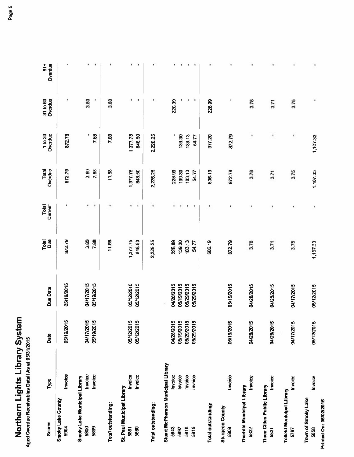| Source                                               | Type                      | Date                     | Due Date                 | Total<br><b>Bug</b> | Total<br>Current | Total<br>Overdue   | 1 to 30<br>Overdue | 31 to 60<br>Overdue | $61+$<br>Overdue |
|------------------------------------------------------|---------------------------|--------------------------|--------------------------|---------------------|------------------|--------------------|--------------------|---------------------|------------------|
| Smoky Lake County<br>5904                            | hvoice                    | 05/19/2015               | 05/19/2015               | 872.79              |                  | 872.79             | 872.79             |                     | ×,               |
| Smoky Lake Municipal Library<br>5899<br>5800         | Invoice<br>Invoice        | 04/17/2015<br>05/19/2015 | 04/17/2015<br>05/19/2015 | 3.80<br>7.88        | ٠                | 3,80<br>7,88       | 7.88               | 3.80                | ٠<br>٠           |
| Total outstanding:                                   |                           |                          |                          | 11.68               |                  | 11.68              | 7.88               | 3.80                | ٠                |
| St. Paul Municipal Library<br>5869<br>5861           | Invoice<br>Invoice        | 05/12/2015<br>05/12/2015 | 05/12/2015<br>05/12/2015 | 1,377.75<br>848.50  | J.               | 1,377.75<br>848.50 | 1,377.75<br>848.50 |                     | ٠<br>٠           |
| Total outstanding:                                   |                           |                          |                          | 2,226.25            |                  | 2,226.25           | 2,226.25           |                     |                  |
| Stuart McPherson Municipal Library<br>5843<br>5897   | Invoice<br><b>Invoice</b> | 04/28/2015<br>05/19/2015 | 04/28/2015<br>05/19/2015 | 228.99<br>139.30    | k                | 228.99<br>139,30   | 139.30             | 228.99              |                  |
| 5918<br>5916                                         | Invoice<br>Invoice        | 05/29/2015<br>05/29/2015 | 05/29/2015<br>05/29/2015 | 183.13<br>54.77     |                  | 183.13<br>54.77    | 183.13<br>54.77    |                     |                  |
| Total outstanding:                                   |                           |                          |                          | 606.19              |                  | 606.19             | 377.20             | 228.99              |                  |
| <b>Sturgeon County</b><br>5909                       | Invoice                   | 05/19/2015               | 05/19/2015               | 872.79              |                  | 872.79             | 872.79             | I                   |                  |
| <b>Thorhild Municipal Library</b><br>5832            | Invoice                   | 04/28/2015               | 04/28/2015               | 3.78                |                  | 3.78               |                    | 3.78                | ٠                |
| Three Cities Public Library<br>5831                  | Invoice                   | 04/28/2015               | 04/28/2015               | 3.71                |                  | 3.71               | $\blacksquare$     | 3.71                | ٠                |
| <b>Tofield Municipal Library</b><br>5797             | Invoice                   | 04/17/2015               | 04/17/2015               | 3.75                |                  | 3.75               | <b>I</b>           | 3.75                | ×                |
| Town of Smoky Lake<br>Printed On: 06/02/2015<br>5858 | Invoice                   | 05/12/2015               | 05/12/2015               | 1,107.33            | ٠                | 1,107.33           | 1,107.33           |                     | ï                |